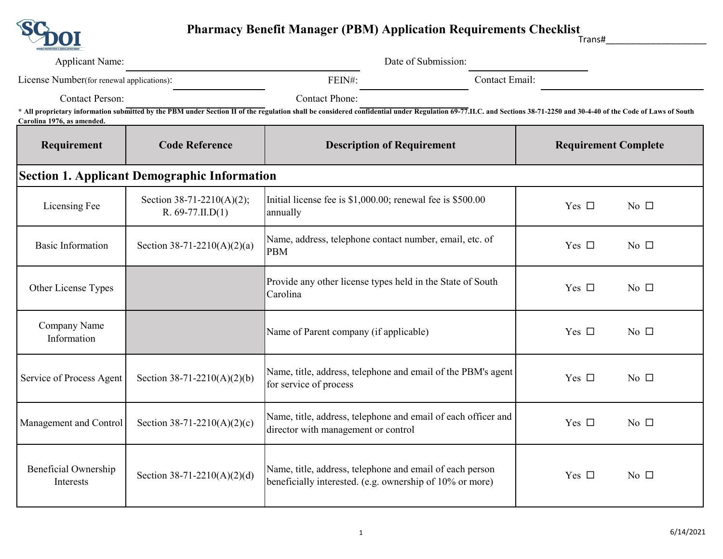

| <b>Applicant Name:</b>                                                                                                                                                                                                                                                       |                                                     | Date of Submission:                                                                                                  |                             |  |  |  |
|------------------------------------------------------------------------------------------------------------------------------------------------------------------------------------------------------------------------------------------------------------------------------|-----------------------------------------------------|----------------------------------------------------------------------------------------------------------------------|-----------------------------|--|--|--|
| License Number(for renewal applications):                                                                                                                                                                                                                                    |                                                     | FEIN#:                                                                                                               | Contact Email:              |  |  |  |
| <b>Contact Person:</b><br>* All proprietary information submitted by the PBM under Section II of the regulation shall be considered confidential under Regulation 69-77.II.C. and Sections 38-71-2250 and 30-4-40 of the Code of Laws of South<br>Carolina 1976, as amended. |                                                     | <b>Contact Phone:</b>                                                                                                |                             |  |  |  |
| Requirement                                                                                                                                                                                                                                                                  | <b>Code Reference</b>                               | <b>Description of Requirement</b>                                                                                    | <b>Requirement Complete</b> |  |  |  |
| <b>Section 1. Applicant Demographic Information</b>                                                                                                                                                                                                                          |                                                     |                                                                                                                      |                             |  |  |  |
| Licensing Fee                                                                                                                                                                                                                                                                | Section 38-71-2210(A)(2);<br>$R. 69-77.$ II.D $(1)$ | Initial license fee is \$1,000.00; renewal fee is \$500.00<br>annually                                               | Yes $\Box$<br>No $\Box$     |  |  |  |
| <b>Basic Information</b>                                                                                                                                                                                                                                                     | Section 38-71-2210(A)(2)(a)                         | Name, address, telephone contact number, email, etc. of<br><b>PBM</b>                                                | Yes $\Box$<br>No $\square$  |  |  |  |
| Other License Types                                                                                                                                                                                                                                                          |                                                     | Provide any other license types held in the State of South<br>Carolina                                               | Yes $\Box$<br>No $\Box$     |  |  |  |
| Company Name<br>Information                                                                                                                                                                                                                                                  |                                                     | Name of Parent company (if applicable)                                                                               | Yes $\Box$<br>No $\Box$     |  |  |  |
| Service of Process Agent                                                                                                                                                                                                                                                     | Section 38-71-2210(A)(2)(b)                         | Name, title, address, telephone and email of the PBM's agent<br>for service of process                               | Yes $\Box$<br>No $\Box$     |  |  |  |
| Management and Control                                                                                                                                                                                                                                                       | Section 38-71-2210(A)(2)(c)                         | Name, title, address, telephone and email of each officer and<br>director with management or control                 | Yes $\Box$<br>No $\Box$     |  |  |  |
| Beneficial Ownership<br>Interests                                                                                                                                                                                                                                            | Section 38-71-2210(A)(2)(d)                         | Name, title, address, telephone and email of each person<br>beneficially interested. (e.g. ownership of 10% or more) | Yes $\Box$<br>No $\square$  |  |  |  |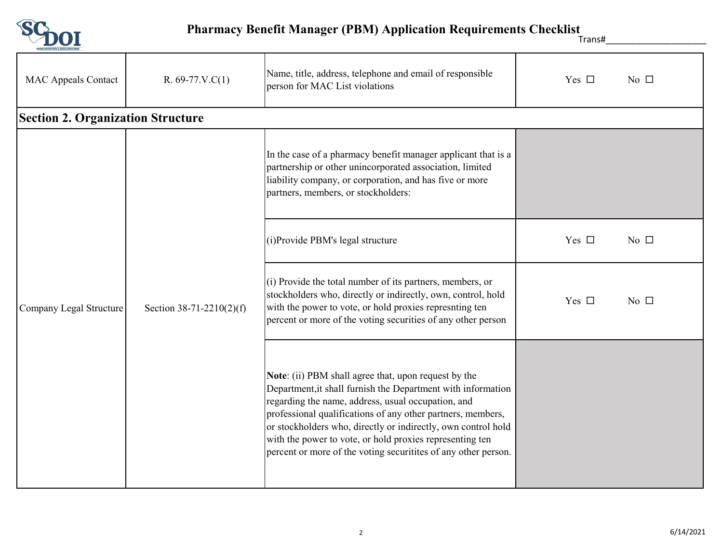

Trans#\_\_\_\_\_\_\_\_\_\_\_\_\_\_\_\_\_\_\_\_

| <b>MAC Appeals Contact</b>               | $R. 69-77.V.C(1)$        | Name, title, address, telephone and email of responsible<br>person for MAC List violations                                                                                                                                                                                                                                                                                                                                               | Yes $\Box$<br>No $\Box$ |
|------------------------------------------|--------------------------|------------------------------------------------------------------------------------------------------------------------------------------------------------------------------------------------------------------------------------------------------------------------------------------------------------------------------------------------------------------------------------------------------------------------------------------|-------------------------|
| <b>Section 2. Organization Structure</b> |                          |                                                                                                                                                                                                                                                                                                                                                                                                                                          |                         |
| Company Legal Structure                  | Section 38-71-2210(2)(f) | In the case of a pharmacy benefit manager applicant that is a<br>partnership or other unincorporated association, limited<br>liability company, or corporation, and has five or more<br>partners, members, or stockholders:                                                                                                                                                                                                              |                         |
|                                          |                          | (i) Provide PBM's legal structure                                                                                                                                                                                                                                                                                                                                                                                                        | Yes $\Box$<br>No $\Box$ |
|                                          |                          | (i) Provide the total number of its partners, members, or<br>stockholders who, directly or indirectly, own, control, hold<br>with the power to vote, or hold proxies represnting ten<br>percent or more of the voting securities of any other person                                                                                                                                                                                     | Yes $\Box$<br>No $\Box$ |
|                                          |                          | Note: (ii) PBM shall agree that, upon request by the<br>Department, it shall furnish the Department with information<br>regarding the name, address, usual occupation, and<br>professional qualifications of any other partners, members,<br>or stockholders who, directly or indirectly, own control hold<br>with the power to vote, or hold proxies representing ten<br>percent or more of the voting securitites of any other person. |                         |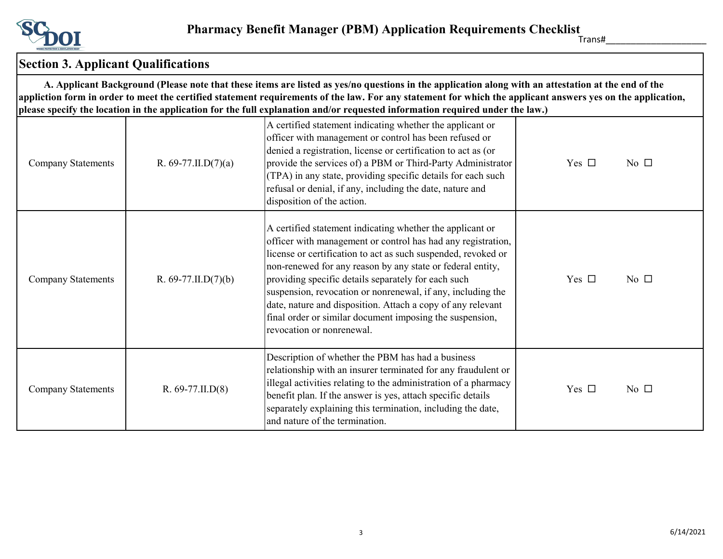

Trans#\_\_\_\_\_\_\_\_\_\_\_\_\_\_\_\_\_\_\_\_

## **Section 3. Applicant Qualifications**

 **A. Applicant Background (Please note that these items are listed as yes/no questions in the application along with an attestation at the end of the appliction form in order to meet the certified statement requirements of the law. For any statement for which the applicant answers yes on the application, please specify the location in the application for the full explanation and/or requested information required under the law.)**

| <b>Company Statements</b> | R. 69-77.II.D $(7)(a)$    | рісаяс зресну тис юсатіон ні тис арріісатіон тог тис тан слріанатіон ана/ог теquestea інгогніатон гедан са анаст тис там і<br>A certified statement indicating whether the applicant or<br>officer with management or control has been refused or<br>denied a registration, license or certification to act as (or<br>provide the services of) a PBM or Third-Party Administrator<br>(TPA) in any state, providing specific details for each such<br>refusal or denial, if any, including the date, nature and<br>disposition of the action. | Yes $\Box$<br>No $\Box$ |
|---------------------------|---------------------------|----------------------------------------------------------------------------------------------------------------------------------------------------------------------------------------------------------------------------------------------------------------------------------------------------------------------------------------------------------------------------------------------------------------------------------------------------------------------------------------------------------------------------------------------|-------------------------|
| <b>Company Statements</b> | R. $69-77$ .II.D $(7)(b)$ | A certified statement indicating whether the applicant or<br>officer with management or control has had any registration,<br>license or certification to act as such suspended, revoked or<br>non-renewed for any reason by any state or federal entity,<br>providing specific details separately for each such<br>suspension, revocation or nonrenewal, if any, including the<br>date, nature and disposition. Attach a copy of any relevant<br>final order or similar document imposing the suspension,<br>revocation or nonrenewal.       | Yes $\Box$<br>No $\Box$ |
| <b>Company Statements</b> | $R. 69-77.$ II.D $(8)$    | Description of whether the PBM has had a business<br>relationship with an insurer terminated for any fraudulent or<br>illegal activities relating to the administration of a pharmacy<br>benefit plan. If the answer is yes, attach specific details<br>separately explaining this termination, including the date,<br>and nature of the termination.                                                                                                                                                                                        | Yes $\Box$<br>No $\Box$ |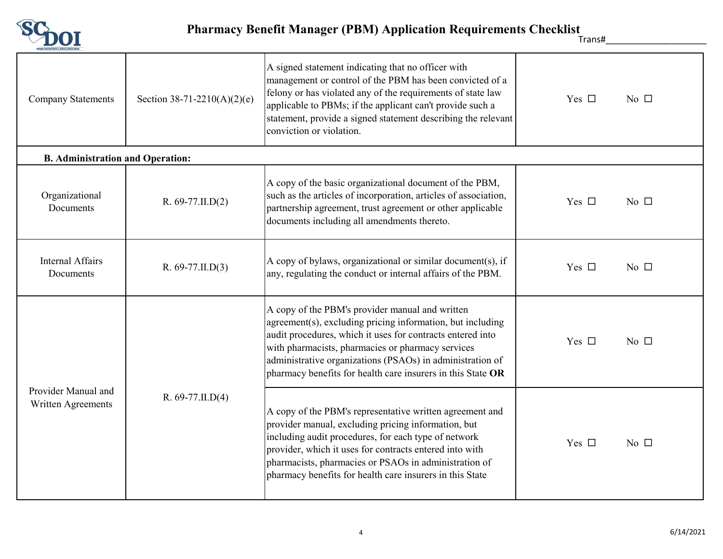

Trans#\_\_\_\_\_\_\_\_\_\_\_\_\_\_\_\_\_\_\_\_

| <b>Company Statements</b>                 | Section 38-71-2210(A)(2)(e) | A signed statement indicating that no officer with<br>management or control of the PBM has been convicted of a<br>felony or has violated any of the requirements of state law<br>applicable to PBMs; if the applicant can't provide such a<br>statement, provide a signed statement describing the relevant<br>conviction or violation.                      | Yes $\square$<br>No $\Box$ |
|-------------------------------------------|-----------------------------|--------------------------------------------------------------------------------------------------------------------------------------------------------------------------------------------------------------------------------------------------------------------------------------------------------------------------------------------------------------|----------------------------|
| <b>B.</b> Administration and Operation:   |                             |                                                                                                                                                                                                                                                                                                                                                              |                            |
| Organizational<br>Documents               | $R. 69-77.$ II.D $(2)$      | A copy of the basic organizational document of the PBM,<br>such as the articles of incorporation, articles of association,<br>partnership agreement, trust agreement or other applicable<br>documents including all amendments thereto.                                                                                                                      | Yes $\Box$<br>No $\Box$    |
| <b>Internal Affairs</b><br>Documents      | $R. 69-77.$ II.D $(3)$      | A copy of bylaws, organizational or similar document(s), if<br>any, regulating the conduct or internal affairs of the PBM.                                                                                                                                                                                                                                   | Yes $\Box$<br>No $\Box$    |
| Provider Manual and<br>Written Agreements | R. $69-77$ .II.D $(4)$      | A copy of the PBM's provider manual and written<br>agreement(s), excluding pricing information, but including<br>audit procedures, which it uses for contracts entered into<br>with pharmacists, pharmacies or pharmacy services<br>administrative organizations (PSAOs) in administration of<br>pharmacy benefits for health care insurers in this State OR | Yes $\Box$<br>No $\Box$    |
|                                           |                             | A copy of the PBM's representative written agreement and<br>provider manual, excluding pricing information, but<br>including audit procedures, for each type of network<br>provider, which it uses for contracts entered into with<br>pharmacists, pharmacies or PSAOs in administration of<br>pharmacy benefits for health care insurers in this State      | Yes $\Box$<br>No $\Box$    |